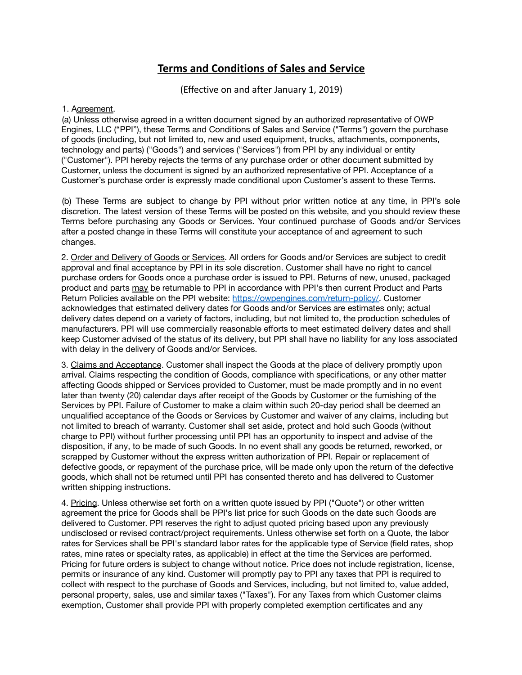## **Terms and Conditions of Sales and Service**

(Effective on and after January 1, 2019)

## 1. Agreement.

(a) Unless otherwise agreed in a written document signed by an authorized representative of OWP Engines, LLC ("PPI"), these Terms and Conditions of Sales and Service ("Terms") govern the purchase of goods (including, but not limited to, new and used equipment, trucks, attachments, components, technology and parts) ("Goods") and services ("Services") from PPI by any individual or entity ("Customer"). PPI hereby rejects the terms of any purchase order or other document submitted by Customer, unless the document is signed by an authorized representative of PPI. Acceptance of a Customer's purchase order is expressly made conditional upon Customer's assent to these Terms.

(b) These Terms are subject to change by PPI without prior written notice at any time, in PPI's sole discretion. The latest version of these Terms will be posted on this website, and you should review these Terms before purchasing any Goods or Services. Your continued purchase of Goods and/or Services after a posted change in these Terms will constitute your acceptance of and agreement to such changes.

2. Order and Delivery of Goods or Services. All orders for Goods and/or Services are subject to credit approval and final acceptance by PPI in its sole discretion. Customer shall have no right to cancel purchase orders for Goods once a purchase order is issued to PPI. Returns of new, unused, packaged product and parts may be returnable to PPI in accordance with PPI's then current Product and Parts Return Policies available on the PPI website: [https://owpengines.com/return-policy/.](https://owpengines.com/return-policy/) Customer acknowledges that estimated delivery dates for Goods and/or Services are estimates only; actual delivery dates depend on a variety of factors, including, but not limited to, the production schedules of manufacturers. PPI will use commercially reasonable efforts to meet estimated delivery dates and shall keep Customer advised of the status of its delivery, but PPI shall have no liability for any loss associated with delay in the delivery of Goods and/or Services.

3. Claims and Acceptance. Customer shall inspect the Goods at the place of delivery promptly upon arrival. Claims respecting the condition of Goods, compliance with specifications, or any other matter affecting Goods shipped or Services provided to Customer, must be made promptly and in no event later than twenty (20) calendar days after receipt of the Goods by Customer or the furnishing of the Services by PPI. Failure of Customer to make a claim within such 20-day period shall be deemed an unqualified acceptance of the Goods or Services by Customer and waiver of any claims, including but not limited to breach of warranty. Customer shall set aside, protect and hold such Goods (without charge to PPI) without further processing until PPI has an opportunity to inspect and advise of the disposition, if any, to be made of such Goods. In no event shall any goods be returned, reworked, or scrapped by Customer without the express written authorization of PPI. Repair or replacement of defective goods, or repayment of the purchase price, will be made only upon the return of the defective goods, which shall not be returned until PPI has consented thereto and has delivered to Customer written shipping instructions.

4. Pricing. Unless otherwise set forth on a written quote issued by PPI ("Quote") or other written agreement the price for Goods shall be PPI's list price for such Goods on the date such Goods are delivered to Customer. PPI reserves the right to adjust quoted pricing based upon any previously undisclosed or revised contract/project requirements. Unless otherwise set forth on a Quote, the labor rates for Services shall be PPI's standard labor rates for the applicable type of Service (field rates, shop rates, mine rates or specialty rates, as applicable) in effect at the time the Services are performed. Pricing for future orders is subject to change without notice. Price does not include registration, license, permits or insurance of any kind. Customer will promptly pay to PPI any taxes that PPI is required to collect with respect to the purchase of Goods and Services, including, but not limited to, value added, personal property, sales, use and similar taxes ("Taxes"). For any Taxes from which Customer claims exemption, Customer shall provide PPI with properly completed exemption certificates and any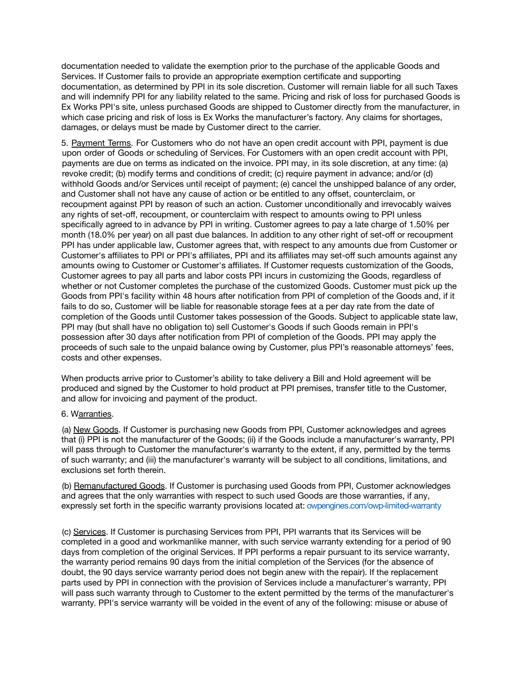documentation needed to validate the exemption prior to the purchase of the applicable Goods and Services. If Customer fails to provide an appropriate exemption certificate and supporting documentation, as determined by PPI in its sole discretion. Customer will remain liable for all such Taxes and will indemnify PPI for any liability related to the same. Pricing and risk of loss for purchased Goods is Ex Works PPI's site, unless purchased Goods are shipped to Customer directly from the manufacturer, in which case pricing and risk of loss is Ex Works the manufacturer's factory. Any claims for shortages, damages, or delays must be made by Customer direct to the carrier.

5. Payment Terms. For Customers who do not have an open credit account with PPI, payment is due upon order of Goods or scheduling of Services. For Customers with an open credit account with PPI, payments are due on terms as indicated on the invoice. PPI may, in its sole discretion, at any time: (a) revoke credit; (b) modify terms and conditions of credit; (c) require payment in advance; and/or (d) withhold Goods and/or Services until receipt of payment; (e) cancel the unshipped balance of any order, and Customer shall not have any cause of action or be entitled to any offset, counterclaim, or recoupment against PPI by reason of such an action. Customer unconditionally and irrevocably waives any rights of set-off, recoupment, or counterclaim with respect to amounts owing to PPI unless specifically agreed to in advance by PPI in writing. Customer agrees to pay a late charge of 1.50% per month (18.0% per year) on all past due balances. In addition to any other right of set-off or recoupment PPI has under applicable law, Customer agrees that, with respect to any amounts due from Customer or Customer's affiliates to PPI or PPI's affiliates, PPI and its affiliates may set-off such amounts against any amounts owing to Customer or Customer's affiliates. If Customer requests customization of the Goods, Customer agrees to pay all parts and labor costs PPI incurs in customizing the Goods, regardless of whether or not Customer completes the purchase of the customized Goods. Customer must pick up the Goods from PPI's facility within 48 hours after notification from PPI of completion of the Goods and, if it fails to do so, Customer will be liable for reasonable storage fees at a per day rate from the date of completion of the Goods until Customer takes possession of the Goods. Subject to applicable state law, PPI may (but shall have no obligation to) sell Customer's Goods if such Goods remain in PPI's possession after 30 days after notification from PPI of completion of the Goods. PPI may apply the proceeds of such sale to the unpaid balance owing by Customer, plus PPI's reasonable attorneys' fees, costs and other expenses.

When products arrive prior to Customer's ability to take delivery a Bill and Hold agreement will be produced and signed by the Customer to hold product at PPI premises, transfer title to the Customer, and allow for invoicing and payment of the product.

## 6. Warranties.

(a) New Goods. If Customer is purchasing new Goods from PPI, Customer acknowledges and agrees that (i) PPI is not the manufacturer of the Goods; (ii) if the Goods include a manufacturer's warranty, PPI will pass through to Customer the manufacturer's warranty to the extent, if any, permitted by the terms of such warranty; and (iii) the manufacturer's warranty will be subject to all conditions, limitations, and exclusions set forth therein.

(b) Remanufactured Goods. If Customer is purchasing used Goods from PPI, Customer acknowledges and agrees that the only warranties with respect to such used Goods are those warranties, if any, expressly set forth in the specific warranty provisions located at: [owpengines.com/owp-limited-warranty](https://owpengines.com/OWP-limited-warranty)

(c) Services. If Customer is purchasing Services from PPI, PPI warrants that its Services will be completed in a good and workmanlike manner, with such service warranty extending for a period of 90 days from completion of the original Services. If PPI performs a repair pursuant to its service warranty, the warranty period remains 90 days from the initial completion of the Services (for the absence of doubt, the 90 days service warranty period does not begin anew with the repair). If the replacement parts used by PPI in connection with the provision of Services include a manufacturer's warranty, PPI will pass such warranty through to Customer to the extent permitted by the terms of the manufacturer's warranty. PPI's service warranty will be voided in the event of any of the following: misuse or abuse of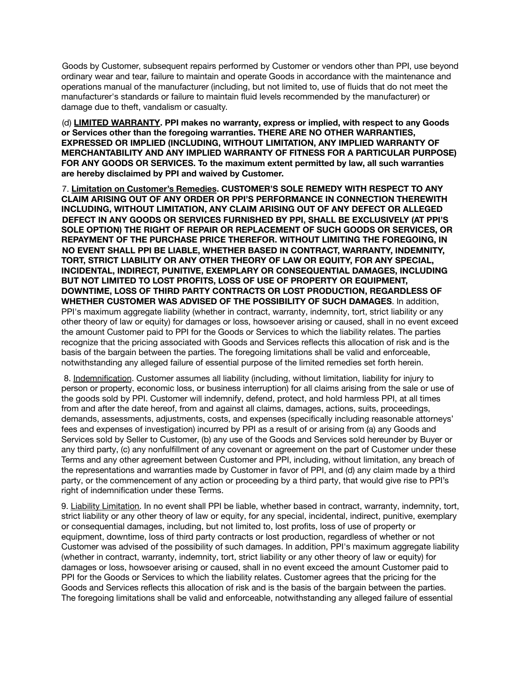Goods by Customer, subsequent repairs performed by Customer or vendors other than PPI, use beyond ordinary wear and tear, failure to maintain and operate Goods in accordance with the maintenance and operations manual of the manufacturer (including, but not limited to, use of fluids that do not meet the manufacturer's standards or failure to maintain fluid levels recommended by the manufacturer) or damage due to theft, vandalism or casualty.

(d) **LIMITED WARRANTY. PPI makes no warranty, express or implied, with respect to any Goods or Services other than the foregoing warranties. THERE ARE NO OTHER WARRANTIES, EXPRESSED OR IMPLIED (INCLUDING, WITHOUT LIMITATION, ANY IMPLIED WARRANTY OF MERCHANTABILITY AND ANY IMPLIED WARRANTY OF FITNESS FOR A PARTICULAR PURPOSE) FOR ANY GOODS OR SERVICES. To the maximum extent permitted by law, all such warranties are hereby disclaimed by PPI and waived by Customer.**

7. **Limitation on Customer's Remedies. CUSTOMER'S SOLE REMEDY WITH RESPECT TO ANY CLAIM ARISING OUT OF ANY ORDER OR PPI'S PERFORMANCE IN CONNECTION THEREWITH INCLUDING, WITHOUT LIMITATION, ANY CLAIM ARISING OUT OF ANY DEFECT OR ALLEGED DEFECT IN ANY GOODS OR SERVICES FURNISHED BY PPI, SHALL BE EXCLUSIVELY (AT PPI'S SOLE OPTION) THE RIGHT OF REPAIR OR REPLACEMENT OF SUCH GOODS OR SERVICES, OR REPAYMENT OF THE PURCHASE PRICE THEREFOR. WITHOUT LIMITING THE FOREGOING, IN NO EVENT SHALL PPI BE LIABLE, WHETHER BASED IN CONTRACT, WARRANTY, INDEMNITY, TORT, STRICT LIABILITY OR ANY OTHER THEORY OF LAW OR EQUITY, FOR ANY SPECIAL, INCIDENTAL, INDIRECT, PUNITIVE, EXEMPLARY OR CONSEQUENTIAL DAMAGES, INCLUDING BUT NOT LIMITED TO LOST PROFITS, LOSS OF USE OF PROPERTY OR EQUIPMENT, DOWNTIME, LOSS OF THIRD PARTY CONTRACTS OR LOST PRODUCTION, REGARDLESS OF WHETHER CUSTOMER WAS ADVISED OF THE POSSIBILITY OF SUCH DAMAGES**. In addition, PPI's maximum aggregate liability (whether in contract, warranty, indemnity, tort, strict liability or any other theory of law or equity) for damages or loss, howsoever arising or caused, shall in no event exceed the amount Customer paid to PPI for the Goods or Services to which the liability relates. The parties recognize that the pricing associated with Goods and Services reflects this allocation of risk and is the basis of the bargain between the parties. The foregoing limitations shall be valid and enforceable, notwithstanding any alleged failure of essential purpose of the limited remedies set forth herein.

8. Indemnification. Customer assumes all liability (including, without limitation, liability for injury to person or property, economic loss, or business interruption) for all claims arising from the sale or use of the goods sold by PPI. Customer will indemnify, defend, protect, and hold harmless PPI, at all times from and after the date hereof, from and against all claims, damages, actions, suits, proceedings, demands, assessments, adjustments, costs, and expenses (specifically including reasonable attorneys' fees and expenses of investigation) incurred by PPI as a result of or arising from (a) any Goods and Services sold by Seller to Customer, (b) any use of the Goods and Services sold hereunder by Buyer or any third party, (c) any nonfulfillment of any covenant or agreement on the part of Customer under these Terms and any other agreement between Customer and PPI, including, without limitation, any breach of the representations and warranties made by Customer in favor of PPI, and (d) any claim made by a third party, or the commencement of any action or proceeding by a third party, that would give rise to PPI's right of indemnification under these Terms.

9. Liability Limitation. In no event shall PPI be liable, whether based in contract, warranty, indemnity, tort, strict liability or any other theory of law or equity, for any special, incidental, indirect, punitive, exemplary or consequential damages, including, but not limited to, lost profits, loss of use of property or equipment, downtime, loss of third party contracts or lost production, regardless of whether or not Customer was advised of the possibility of such damages. In addition, PPI's maximum aggregate liability (whether in contract, warranty, indemnity, tort, strict liability or any other theory of law or equity) for damages or loss, howsoever arising or caused, shall in no event exceed the amount Customer paid to PPI for the Goods or Services to which the liability relates. Customer agrees that the pricing for the Goods and Services reflects this allocation of risk and is the basis of the bargain between the parties. The foregoing limitations shall be valid and enforceable, notwithstanding any alleged failure of essential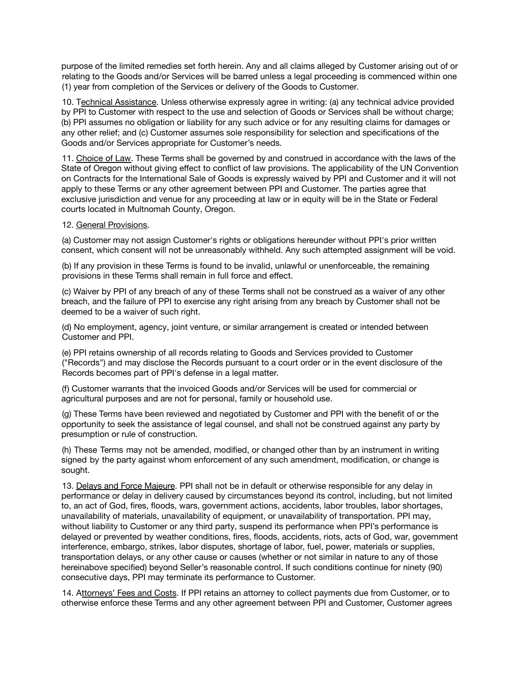purpose of the limited remedies set forth herein. Any and all claims alleged by Customer arising out of or relating to the Goods and/or Services will be barred unless a legal proceeding is commenced within one (1) year from completion of the Services or delivery of the Goods to Customer.

10. Technical Assistance. Unless otherwise expressly agree in writing: (a) any technical advice provided by PPI to Customer with respect to the use and selection of Goods or Services shall be without charge; (b) PPI assumes no obligation or liability for any such advice or for any resulting claims for damages or any other relief; and (c) Customer assumes sole responsibility for selection and specifications of the Goods and/or Services appropriate for Customer's needs.

11. Choice of Law. These Terms shall be governed by and construed in accordance with the laws of the State of Oregon without giving effect to conflict of law provisions. The applicability of the UN Convention on Contracts for the International Sale of Goods is expressly waived by PPI and Customer and it will not apply to these Terms or any other agreement between PPI and Customer. The parties agree that exclusive jurisdiction and venue for any proceeding at law or in equity will be in the State or Federal courts located in Multnomah County, Oregon.

## 12. General Provisions.

(a) Customer may not assign Customer's rights or obligations hereunder without PPI's prior written consent, which consent will not be unreasonably withheld. Any such attempted assignment will be void.

(b) If any provision in these Terms is found to be invalid, unlawful or unenforceable, the remaining provisions in these Terms shall remain in full force and effect.

(c) Waiver by PPI of any breach of any of these Terms shall not be construed as a waiver of any other breach, and the failure of PPI to exercise any right arising from any breach by Customer shall not be deemed to be a waiver of such right.

(d) No employment, agency, joint venture, or similar arrangement is created or intended between Customer and PPI.

(e) PPI retains ownership of all records relating to Goods and Services provided to Customer ("Records") and may disclose the Records pursuant to a court order or in the event disclosure of the Records becomes part of PPI's defense in a legal matter.

(f) Customer warrants that the invoiced Goods and/or Services will be used for commercial or agricultural purposes and are not for personal, family or household use.

(g) These Terms have been reviewed and negotiated by Customer and PPI with the benefit of or the opportunity to seek the assistance of legal counsel, and shall not be construed against any party by presumption or rule of construction.

(h) These Terms may not be amended, modified, or changed other than by an instrument in writing signed by the party against whom enforcement of any such amendment, modification, or change is sought.

13. Delays and Force Majeure. PPI shall not be in default or otherwise responsible for any delay in performance or delay in delivery caused by circumstances beyond its control, including, but not limited to, an act of God, fires, floods, wars, government actions, accidents, labor troubles, labor shortages, unavailability of materials, unavailability of equipment, or unavailability of transportation. PPI may, without liability to Customer or any third party, suspend its performance when PPI's performance is delayed or prevented by weather conditions, fires, floods, accidents, riots, acts of God, war, government interference, embargo, strikes, labor disputes, shortage of labor, fuel, power, materials or supplies, transportation delays, or any other cause or causes (whether or not similar in nature to any of those hereinabove specified) beyond Seller's reasonable control. If such conditions continue for ninety (90) consecutive days, PPI may terminate its performance to Customer.

14. Attorneys' Fees and Costs. If PPI retains an attorney to collect payments due from Customer, or to otherwise enforce these Terms and any other agreement between PPI and Customer, Customer agrees